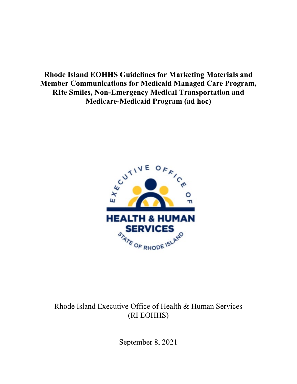**Rhode Island EOHHS Guidelines for Marketing Materials and Member Communications for Medicaid Managed Care Program, RIte Smiles, Non-Emergency Medical Transportation and Medicare-Medicaid Program (ad hoc)**



Rhode Island Executive Office of Health & Human Services (RI EOHHS)

September 8, 2021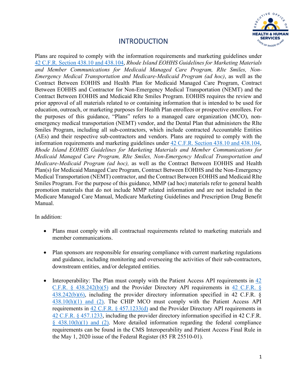

## INTRODUCTION

Plans are required to comply with the information requirements and marketing guidelines under [42 C.F.R. Section 438.10 and 438.104,](https://www.gpo.gov/fdsys/pkg/CFR-2011-title42-vol4/pdf/CFR-2011-title42-vol4-part438.pdf) *Rhode Island EOHHS Guidelines for Marketing Materials and Member Communications for Medicaid Managed Care Program, RIte Smiles, Non-Emergency Medical Transportation and Medicare-Medicaid Program (ad hoc)*, as well as the Contract Between EOHHS and Health Plan for Medicaid Managed Care Program, Contract Between EOHHS and Contractor for Non-Emergency Medical Transportation (NEMT) and the Contract Between EOHHS and Medicaid RIte Smiles Program. EOHHS requires the review and prior approval of all materials related to or containing information that is intended to be used for education, outreach, or marketing purposes for Health Plan enrollees or prospective enrollees. For the purposes of this guidance, "Plans" refers to a managed care organization (MCO), nonemergency medical transportation (NEMT) vendor, and the Dental Plan that administers the RIte Smiles Program, including all sub-contractors, which include contracted Accountable Entities (AEs) and their respective sub-contractors and vendors. Plans are required to comply with the information requirements and marketing guidelines under [42 C.F.R. Section 438.10 and 438.104,](https://www.gpo.gov/fdsys/pkg/CFR-2011-title42-vol4/pdf/CFR-2011-title42-vol4-part438.pdf) *Rhode Island EOHHS Guidelines for Marketing Materials and Member Communications for Medicaid Managed Care Program, RIte Smiles, Non-Emergency Medical Transportation and Medicare-Medicaid Program (ad hoc),* as well as the Contract Between EOHHS and Health Plan(s) for Medicaid Managed Care Program, Contract Between EOHHS and the Non-Emergency Medical Transportation (NEMT) contractor, and the Contract Between EOHHS and Medicaid RIte Smiles Program. For the purpose of this guidance, MMP (ad hoc) materials refer to general health promotion materials that do not include MMP related information and are not included in the Medicare Managed Care Manual, Medicare Marketing Guidelines and Prescription Drug Benefit Manual.

In addition:

- Plans must comply with all contractual requirements related to marketing materials and member communications.
- Plan sponsors are responsible for ensuring compliance with current marketing regulations and guidance, including monitoring and overseeing the activities of their sub-contractors, downstream entities, and/or delegated entities.
- Interoperability: The Plan must comply with the Patient Access API requirements in 42 [C.F.R. § 438.242\(b\)\(5\)](https://www.law.cornell.edu/cfr/text/42/438.242/) and the Provider Directory API requirements in [42 C.F.R. §](https://www.law.cornell.edu/cfr/text/42/438.242/)   $438.242(b)(6)$ , including the provider directory information specified in 42 C.F.R. §  $438.10(h)(1)$  and (2). The CHIP MCO must comply with the Patient Access API requirements in  $42$  C.F.R. §  $457.1233(d)$  and the Provider Directory API requirements in [42 C.F.R. § 457.1233,](https://www.law.cornell.edu/cfr/text/42/457.1233/) including the provider directory information specified in 42 C.F.R.  $§$  438.10(h)(1) and (2). More detailed information regarding the federal compliance requirements can be found in the CMS Interoperability and Patient Access Final Rule in the May 1, 2020 issue of the Federal Register (85 FR 25510-01).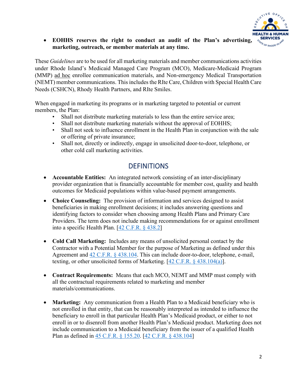

### • **EOHHS reserves the right to conduct an audit of the Plan's advertising, marketing, outreach, or member materials at any time.**

These *Guidelines* are to be used for all marketing materials and member communications activities under Rhode Island's Medicaid Managed Care Program (MCO), Medicare-Medicaid Program (MMP) ad hoc enrollee communication materials, and Non-emergency Medical Transportation (NEMT) member communications. This includes the RIte Care, Children with Special Health Care Needs (CSHCN), Rhody Health Partners, and RIte Smiles.

When engaged in marketing its programs or in marketing targeted to potential or current members, the Plan:

- Shall not distribute marketing materials to less than the entire service area;
- Shall not distribute marketing materials without the approval of EOHHS;
- Shall not seek to influence enrollment in the Health Plan in conjunction with the sale or offering of private insurance;
- Shall not, directly or indirectly, engage in unsolicited door-to-door, telephone, or other cold call marketing activities.

## **DEFINITIONS**

- **Accountable Entities:** An integrated network consisting of an inter-disciplinary provider organization that is financially accountable for member cost, quality and health outcomes for Medicaid populations within value-based payment arrangements.
- **Choice Counseling:** The provision of information and services designed to assist beneficiaries in making enrollment decisions; it includes answering questions and identifying factors to consider when choosing among Health Plans and Primary Care Providers. The term does not include making recommendations for or against enrollment into a specific Health Plan. [\[42 C.F.R. § 438.2\]](https://www.law.cornell.edu/cfr/text/42/438.2)
- **Cold Call Marketing:** Includes any means of unsolicited personal contact by the Contractor with a Potential Member for the purpose of Marketing as defined under this Agreement and [42 C.F.R. § 438.104.](https://www.law.cornell.edu/cfr/text/42/438.104/) This can include door-to-door, telephone, e-mail, texting, or other unsolicited forms of Marketing. [\[42 C.F.R. § 438.104\(a\)\]](https://www.law.cornell.edu/cfr/text/42/438.104/).
- **Contract Requirements:** Means that each MCO, NEMT and MMP must comply with all the contractual requirements related to marketing and member materials/communications.
- **Marketing:** Any communication from a Health Plan to a Medicaid beneficiary who is not enrolled in that entity, that can be reasonably interpreted as intended to influence the beneficiary to enroll in that particular Health Plan's Medicaid product, or either to not enroll in or to disenroll from another Health Plan's Medicaid product. Marketing does not include communication to a Medicaid beneficiary from the issuer of a qualified Health Plan as defined in [45 C.F.R. § 155.20.](https://www.law.cornell.edu/cfr/text/45/155.20) [\[42 C.F.R. § 438.104\]](https://www.law.cornell.edu/cfr/text/42/438.104)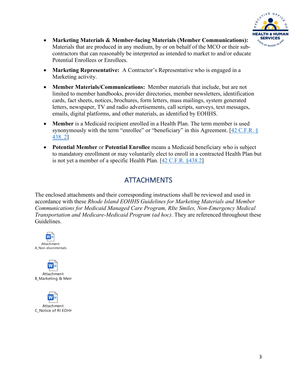

- **Marketing Materials & Member-facing Materials (Member Communications):** Materials that are produced in any medium, by or on behalf of the MCO or their subcontractors that can reasonably be interpreted as intended to market to and/or educate Potential Enrollees or Enrollees.
- **Marketing Representative:** A Contractor's Representative who is engaged in a Marketing activity.
- **Member Materials/Communications:** Member materials that include, but are not limited to member handbooks, provider directories, member newsletters, identification cards, fact sheets, notices, brochures, form letters, mass mailings, system generated letters, newspaper, TV and radio advertisements, call scripts, surveys, text messages, emails, digital platforms, and other materials, as identified by EOHHS.
- **Member** is a Medicaid recipient enrolled in a Health Plan. The term member is used synonymously with the term "enrollee" or "beneficiary" in this Agreement.  $[42 \text{ C.F.R.}$  § [438. 2\]](https://www.law.cornell.edu/cfr/text/42/438.2)
- **Potential Member** or **Potential Enrollee** means a Medicaid beneficiary who is subject to mandatory enrollment or may voluntarily elect to enroll in a contracted Health Plan but is not yet a member of a specific Health Plan. [\[42 C.F.R. §438.2\]](https://www.law.cornell.edu/cfr/text/42/438.2)

## ATTACHMENTS

The enclosed attachments and their corresponding instructions shall be reviewed and used in accordance with these *Rhode Island EOHHS Guidelines for Marketing Materials and Member Communications for Medicaid Managed Care Program, RIte Smiles, Non-Emergency Medical Transportation and Medicare-Medicaid Program (ad hoc)*. They are referenced throughout these Guidelines.





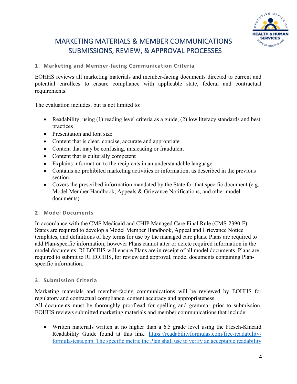

## MARKETING MATERIALS & MEMBER COMMUNICATIONS SUBMISSIONS, REVIEW, & APPROVAL PROCESSES

**1. Marketing and Member-facing Communication Criteria**

EOHHS reviews all marketing materials and member-facing documents directed to current and potential enrollees to ensure compliance with applicable state, federal and contractual requirements.

The evaluation includes, but is not limited to:

- Readability; using (1) reading level criteria as a guide, (2) low literacy standards and best practices
- Presentation and font size
- Content that is clear, concise, accurate and appropriate
- Content that may be confusing, misleading or fraudulent
- Content that is culturally competent
- Explains information to the recipients in an understandable language
- Contains no prohibited marketing activities or information, as described in the previous section.
- Covers the prescribed information mandated by the State for that specific document (e.g. Model Member Handbook, Appeals & Grievance Notifications, and other model documents)

## **2. Model Documents**

In accordance with the CMS Medicaid and CHIP Managed Care Final Rule (CMS-2390-F), States are required to develop a Model Member Handbook, Appeal and Grievance Notice templates, and definitions of key terms for use by the managed care plans. Plans are required to add Plan-specific information; however Plans cannot alter or delete required information in the model documents. RI EOHHS will ensure Plans are in receipt of all model documents. Plans are required to submit to RI EOHHS, for review and approval, model documents containing Planspecific information.

## **3. Submission Criteria**

Marketing materials and member-facing communications will be reviewed by EOHHS for regulatory and contractual compliance, content accuracy and appropriateness.

All documents must be thoroughly proofread for spelling and grammar prior to submission. EOHHS reviews submitted marketing materials and member communications that include:

• Written materials written at no higher than a 6.5 grade level using the Flesch-Kincaid Readability Guide found at this link: [https://readabilityformulas.com/free-readability](https://readabilityformulas.com/free-readability-formula-tests.php)[formula-tests.php.](https://readabilityformulas.com/free-readability-formula-tests.php) The specific metric the Plan shall use to verify an acceptable readability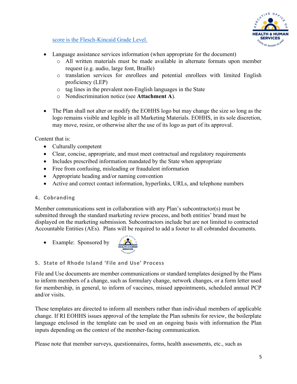

score is the Flesch-Kincaid Grade Level.

- Language assistance services information (when appropriate for the document)
	- o All written materials must be made available in alternate formats upon member request (e.g. audio, large font, Braille)
	- o translation services for enrollees and potential enrollees with limited English proficiency (LEP)
	- o tag lines in the prevalent non-English languages in the State
	- o Nondiscrimination notice (see **Attachment A**).
- The Plan shall not alter or modify the EOHHS logo but may change the size so long as the logo remains visible and legible in all Marketing Materials. EOHHS, in its sole discretion, may move, resize, or otherwise alter the use of its logo as part of its approval.

Content that is:

- Culturally competent
- Clear, concise, appropriate, and must meet contractual and regulatory requirements
- Includes prescribed information mandated by the State when appropriate
- Free from confusing, misleading or fraudulent information
- Appropriate heading and/or naming convention
- Active and correct contact information, hyperlinks, URLs, and telephone numbers

#### **4. Cobranding**

Member communications sent in collaboration with any Plan's subcontractor(s) must be submitted through the standard marketing review process, and both entities' brand must be displayed on the marketing submission. Subcontractors include but are not limited to contracted Accountable Entities (AEs). Plans will be required to add a footer to all cobranded documents.

• Example: Sponsored by



#### **5. State of Rhode Island 'File and Use' Process**

File and Use documents are member communications or standard templates designed by the Plans to inform members of a change, such as formulary change, network changes, or a form letter used for membership, in general, to inform of vaccines, missed appointments, scheduled annual PCP and/or visits.

These templates are directed to inform all members rather than individual members of applicable change. If RI EOHHS issues approval of the template the Plan submits for review, the boilerplate language enclosed in the template can be used on an ongoing basis with information the Plan inputs depending on the context of the member-facing communication.

Please note that member surveys, questionnaires, forms, health assessments, etc., such as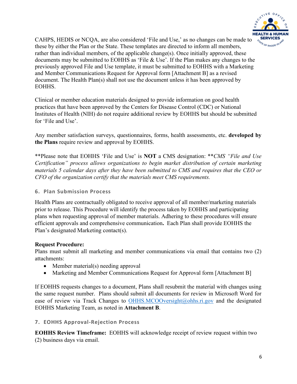

CAHPS, HEDIS or NCQA, are also considered 'File and Use,' as no changes can be made to these by either the Plan or the State. These templates are directed to inform all members, rather than individual members, of the applicable change(s). Once initially approved, these documents may be submitted to EOHHS as 'File & Use'. If the Plan makes any changes to the previously approved File and Use template, it must be submitted to EOHHS with a Marketing and Member Communications Request for Approval form [Attachment B] as a revised document. The Health Plan(s) shall not use the document unless it has been approved by EOHHS.

Clinical or member education materials designed to provide information on good health practices that have been approved by the Centers for Disease Control (CDC) or National Institutes of Health (NIH) do not require additional review by EOHHS but should be submitted for 'File and Use'.

Any member satisfaction surveys, questionnaires, forms, health assessments, etc. **developed by the Plans** require review and approval by EOHHS.

\*\*Please note that EOHHS 'File and Use' is **NOT** a CMS designation: \*\**CMS "File and Use Certification" process allows organizations to begin market distribution of certain marketing materials 5 calendar days after they have been submitted to CMS and requires that the CEO or CFO of the organization certify that the materials meet CMS requirements.* 

#### **6. Plan Submission Process**

Health Plans are contractually obligated to receive approval of all member/marketing materials prior to release. This Procedure will identify the process taken by EOHHS and participating plans when requesting approval of member materials. Adhering to these procedures will ensure efficient approvals and comprehensive communication**.** Each Plan shall provide EOHHS the Plan's designated Marketing contact(s).

## **Request Procedure:**

Plans must submit all marketing and member communications via email that contains two (2) attachments:

- Member material(s) needing approval
- Marketing and Member Communications Request for Approval form [Attachment B]

If EOHHS requests changes to a document, Plans shall resubmit the material with changes using the same request number. Plans should submit all documents for review in Microsoft Word for ease of review via Track Changes to [OHHS.MCOOversight@ohhs.ri.gov](mailto:OHHS.MCOOversight@ohhs.ri.gov) and the designated EOHHS Marketing Team, as noted in **Attachment B**.

## **7. EOHHS Approval-Rejection Process**

**EOHHS Review Timeframe:** EOHHS will acknowledge receipt of review request within two (2) business days via email.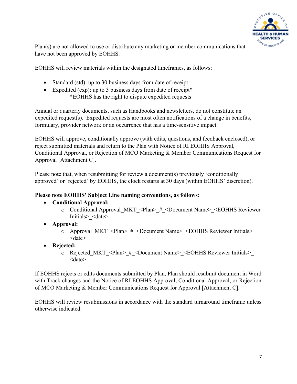

Plan(s) are not allowed to use or distribute any marketing or member communications that have not been approved by EOHHS.

EOHHS will review materials within the designated timeframes, as follows:

- Standard (std): up to 30 business days from date of receipt
- Expedited (exp): up to 3 business days from date of receipt\* \*EOHHS has the right to dispute expedited requests

Annual or quarterly documents, such as Handbooks and newsletters, do not constitute an expedited request(s). Expedited requests are most often notifications of a change in benefits, formulary, provider network or an occurrence that has a time-sensitive impact.

EOHHS will approve, conditionally approve (with edits, questions, and feedback enclosed), or reject submitted materials and return to the Plan with Notice of RI EOHHS Approval, Conditional Approval, or Rejection of MCO Marketing & Member Communications Request for Approval [Attachment C].

Please note that, when resubmitting for review a document(s) previously 'conditionally approved' or 'rejected' by EOHHS, the clock restarts at 30 days (within EOHHS' discretion).

#### **Please note EOHHS' Subject Line naming conventions, as follows:**

## • **Conditional Approval:**

- o Conditional Approval\_MKT\_<Plan>\_#\_<Document Name>\_<EOHHS Reviewer Initials>\_<date>
- **Approval:** 
	- o Approval\_MKT\_<Plan>\_#\_<Document Name>\_<EOHHS Reviewer Initials>\_ <date>
- **Rejected:** 
	- o Rejected\_MKT\_<Plan>\_#\_<Document Name>\_<EOHHS Reviewer Initials>\_ <date>

If EOHHS rejects or edits documents submitted by Plan, Plan should resubmit document in Word with Track changes and the Notice of RI EOHHS Approval, Conditional Approval, or Rejection of MCO Marketing & Member Communications Request for Approval [Attachment C].

EOHHS will review resubmissions in accordance with the standard turnaround timeframe unless otherwise indicated.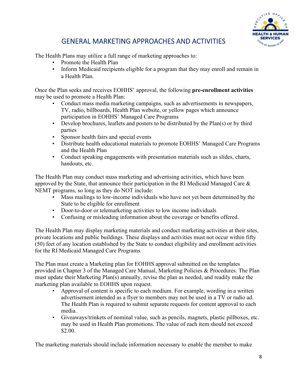

## GENERAL MARKETING APPROACHES AND ACTIVITIES

The Health Plans may utilize a full range of marketing approaches to:

- Promote the Health Plan
- Inform Medicaid recipients eligible for a program that they may enroll and remain in a Health Plan.

Once the Plan seeks and receives EOHHS' approval, the following **pre-enrollment activities** may be used to promote a Health Plan:

- Conduct mass media marketing campaigns, such as advertisements in newspapers, TV, radio, billboards, Health Plan website, or yellow pages which announce participation in EOHHS' Managed Care Programs
- Develop brochures, leaflets and posters to be distributed by the Plan(s) or by third parties
- Sponsor health fairs and special events
- Distribute health educational materials to promote EOHHS' Managed Care Programs and the Health Plan
- Conduct speaking engagements with presentation materials such as slides, charts, handouts, etc.

The Health Plan may conduct mass marketing and advertising activities, which have been approved by the State, that announce their participation in the RI Medicaid Managed Care & NEMT programs, so long as they do NOT include:

- Mass mailings to low-income individuals who have not yet been determined by the State to be eligible for enrollment
- Door-to-door or telemarketing activities to low income individuals
- Confusing or misleading information about the coverage or benefits offered.

The Health Plan may display marketing materials and conduct marketing activities at their sites, private locations and public buildings. These displays and activities must not occur within fifty (50) feet of any location established by the State to conduct eligibility and enrollment activities for the RI Medicaid Managed Care Programs.

The Plan must create a Marketing plan for EOHHS approval submitted on the templates provided in Chapter 3 of the Managed Care Manual, Marketing Policies & Procedures. The Plan must update their Marketing Plan(s) annually, revise the plan as needed, and readily make the marketing plan available to EOHHS upon request.

- Approval of content is specific to each medium. For example, wording in a written advertisement intended as a flyer to members may not be used in a TV or radio ad. The Health Plan is required to submit separate requests for content approval to each media.
- Giveaways/trinkets of nominal value, such as pencils, magnets, plastic pillboxes, etc. may be used in Health Plan promotions. The value of each item should not exceed \$2.00.

The marketing materials should include information necessary to enable the member to make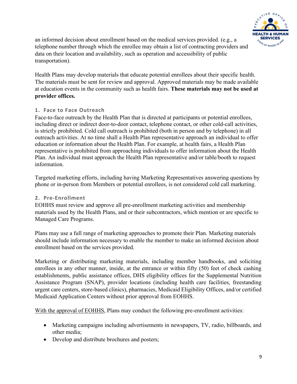

an informed decision about enrollment based on the medical services provided. (e.g., a telephone number through which the enrollee may obtain a list of contracting providers and data on their location and availability, such as operation and accessibility of public transportation).

Health Plans may develop materials that educate potential enrollees about their specific health. The materials must be sent for review and approval. Approved materials may be made available at education events in the community such as health fairs. **These materials may not be used at provider offices.**

### **1. Face to Face Outreach**

Face-to-face outreach by the Health Plan that is directed at participants or potential enrollees, including direct or indirect door-to-door contact, telephone contact, or other cold-call activities, is strictly prohibited. Cold call outreach is prohibited (both in person and by telephone) in all outreach activities. At no time shall a Health Plan representative approach an individual to offer education or information about the Health Plan. For example, at health fairs, a Health Plan representative is prohibited from approaching individuals to offer information about the Health Plan. An individual must approach the Health Plan representative and/or table/booth to request information.

Targeted marketing efforts, including having Marketing Representatives answering questions by phone or in-person from Members or potential enrollees, is not considered cold call marketing.

## **2. Pre-Enrollment**

EOHHS must review and approve all pre-enrollment marketing activities and membership materials used by the Health Plans, and or their subcontractors, which mention or are specific to Managed Care Programs.

Plans may use a full range of marketing approaches to promote their Plan. Marketing materials should include information necessary to enable the member to make an informed decision about enrollment based on the services provided.

Marketing or distributing marketing materials, including member handbooks, and soliciting enrollees in any other manner, inside, at the entrance or within fifty (50) feet of check cashing establishments, public assistance offices, DHS eligibility offices for the Supplemental Nutrition Assistance Program (SNAP), provider locations (including health care facilities, freestanding urgent care centers, store-based clinics), pharmacies, Medicaid Eligibility Offices, and/or certified Medicaid Application Centers without prior approval from EOHHS.

With the approval of EOHHS, Plans may conduct the following pre-enrollment activities:

- Marketing campaigns including advertisements in newspapers, TV, radio, billboards, and other media;
- Develop and distribute brochures and posters;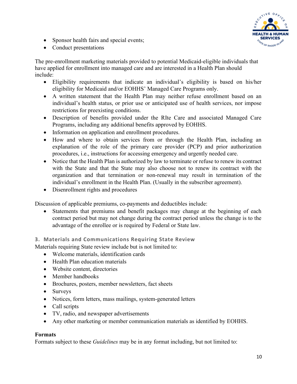

- Sponsor health fairs and special events;
- Conduct presentations

The pre-enrollment marketing materials provided to potential Medicaid-eligible individuals that have applied for enrollment into managed care and are interested in a Health Plan should include:

- Eligibility requirements that indicate an individual's eligibility is based on his/her eligibility for Medicaid and/or EOHHS' Managed Care Programs only.
- A written statement that the Health Plan may neither refuse enrollment based on an individual's health status, or prior use or anticipated use of health services, nor impose restrictions for preexisting conditions.
- Description of benefits provided under the RIte Care and associated Managed Care Programs, including any additional benefits approved by EOHHS.
- Information on application and enrollment procedures.
- How and where to obtain services from or through the Health Plan, including an explanation of the role of the primary care provider (PCP) and prior authorization procedures, i.e., instructions for accessing emergency and urgently needed care.
- Notice that the Health Plan is authorized by law to terminate or refuse to renew its contract with the State and that the State may also choose not to renew its contract with the organization and that termination or non-renewal may result in termination of the individual's enrollment in the Health Plan. (Usually in the subscriber agreement).
- Disenrollment rights and procedures

Discussion of applicable premiums, co-payments and deductibles include:

Statements that premiums and benefit packages may change at the beginning of each contract period but may not change during the contract period unless the change is to the advantage of the enrollee or is required by Federal or State law.

**3. Materials and Communications Requiring State Review**

Materials requiring State review include but is not limited to:

- Welcome materials, identification cards
- Health Plan education materials
- Website content, directories
- Member handbooks
- Brochures, posters, member newsletters, fact sheets
- Surveys
- Notices, form letters, mass mailings, system-generated letters
- Call scripts
- TV, radio, and newspaper advertisements
- Any other marketing or member communication materials as identified by EOHHS.

## **Formats**

Formats subject to these *Guidelines* may be in any format including, but not limited to: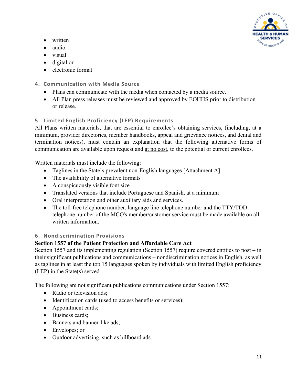

- written
- audio
- visual
- digital or
- electronic format
- **4. Communication with Media Source**
	- Plans can communicate with the media when contacted by a media source.
	- All Plan press releases must be reviewed and approved by EOHHS prior to distribution or release.

## **5. Limited English Proficiency (LEP) Requirements**

All Plans written materials, that are essential to enrollee's obtaining services, (including, at a minimum, provider directories, member handbooks, appeal and grievance notices, and denial and termination notices), must contain an explanation that the following alternative forms of communication are available upon request and at no cost, to the potential or current enrollees.

Written materials must include the following:

- Taglines in the State's [prevalent](https://www.law.cornell.edu/definitions/index.php?width=840&height=800&iframe=true&def_id=e29f54cbfb07082c7891c1371fbdf496&term_occur=5&term_src=Title:42:Chapter:IV:Subchapter:C:Part:438:Subpart:A:438.10) non-English languages [Attachment A]
- The availability of alternative formats
- A conspicuously visible font size
- Translated versions that include Portuguese and Spanish, at a minimum
- Oral interpretation and other auxiliary aids and services.
- The toll-free telephone number, language line telephone number and the TTY/TDD telephone number of the [MCO's](https://www.law.cornell.edu/definitions/index.php?width=840&height=800&iframe=true&def_id=1daf12b5f60f2d316a82cf2b0c33d729&term_occur=10&term_src=Title:42:Chapter:IV:Subchapter:C:Part:438:Subpart:A:438.10) member/customer service must be made available on all written information.

## **6. Nondiscrimination Provisions**

## **Section 1557 of the Patient Protection and Affordable Care Act**

Section 1557 and its implementing regulation (Section 1557) require covered entities to post – in their significant publications and communications – nondiscrimination notices in English, as well as taglines in at least the top 15 languages spoken by individuals with limited English proficiency (LEP) in the State(s) served.

The following are not significant publications communications under Section 1557:

- Radio or television ads:
- Identification cards (used to access benefits or services);
- Appointment cards;
- Business cards:
- Banners and banner-like ads;
- Envelopes; or
- Outdoor advertising, such as billboard ads.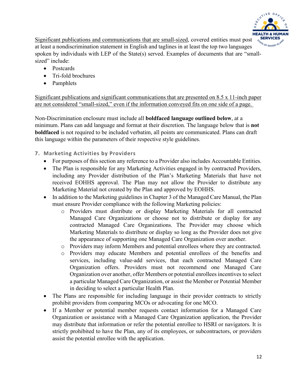

Significant publications and communications that are small-sized, covered entities must post at least a nondiscrimination statement in English and taglines in at least the top two languages spoken by individuals with LEP of the State(s) served. Examples of documents that are "smallsized" include:

- Postcards
- Tri-fold brochures
- Pamphlets

Significant publications and significant communications that are presented on 8.5 x 11-inch paper are not considered "small-sized," even if the information conveyed fits on one side of a page.

Non-Discrimination enclosure must include all **boldfaced language outlined below**, at a minimum. Plans can add language and format at their discretion. The language below that is **not boldfaced** is not required to be included verbatim, all points are communicated. Plans can draft this language within the parameters of their respective style guidelines.

### **7. Marketing Activities by Providers**

- For purposes of this section any reference to a Provider also includes Accountable Entities.
- The Plan is responsible for any Marketing Activities engaged in by contracted Providers, including any Provider distribution of the Plan's Marketing Materials that have not received EOHHS approval. The Plan may not allow the Provider to distribute any Marketing Material not created by the Plan and approved by EOHHS.
- In addition to the Marketing guidelines in Chapter 3 of the Managed Care Manual, the Plan must ensure Provider compliance with the following Marketing policies:
	- o Providers must distribute or display Marketing Materials for all contracted Managed Care Organizations or choose not to distribute or display for any contracted Managed Care Organizations. The Provider may choose which Marketing Materials to distribute or display so long as the Provider does not give the appearance of supporting one Managed Care Organization over another.
	- o Providers may inform Members and potential enrollees where they are contracted.
	- o Providers may educate Members and potential enrollees of the benefits and services, including value-add services, that each contracted Managed Care Organization offers. Providers must not recommend one Managed Care Organization over another, offer Members or potential enrollees incentives to select a particular Managed Care Organization, or assist the Member or Potential Member in deciding to select a particular Health Plan.
- The Plans are responsible for including language in their provider contracts to strictly prohibit providers from comparing MCOs or advocating for one MCO.
- If a Member or potential member requests contact information for a Managed Care Organization or assistance with a Managed Care Organization application, the Provider may distribute that information or refer the potential enrollee to HSRI or navigators. It is strictly prohibited to have the Plan, any of its employees, or subcontractors, or providers assist the potential enrollee with the application.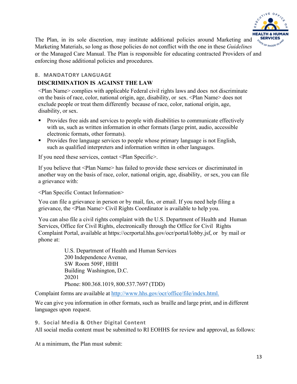

The Plan, in its sole discretion, may institute additional policies around Marketing and Marketing Materials, so long as those policies do not conflict with the one in these *Guidelines* or the Managed Care Manual. The Plan is responsible for educating contracted Providers of and enforcing those additional policies and procedures.

#### **8. MANDATORY LANGUAGE**

#### **DISCRIMINATION IS AGAINST THE LAW**

<Plan Name> complies with applicable Federal civil rights laws and does not discriminate on the basis of race, color, national origin, age, disability, or sex. <Plan Name> does not exclude people or treat them differently because of race, color, national origin, age, disability, or sex.

- **Provides free aids and services to people with disabilities to communicate effectively** with us, such as written information in other formats (large print, audio, accessible electronic formats, other formats).
- **Provides free language services to people whose primary language is not English,** such as qualified interpreters and information written in other languages.

If you need these services, contact <Plan Specific>.

If you believe that <Plan Name> has failed to provide these services or discriminated in another way on the basis of race, color, national origin, age, disability, or sex, you can file a grievance with:

<Plan Specific Contact Information>

You can file a grievance in person or by mail, fax, or email. If you need help filing a grievance, the <Plan Name> Civil Rights Coordinator is available to help you.

You can also file a civil rights complaint with the U.S. Department of Health and Human Services, Office for Civil Rights, electronically through the Office for Civil Rights Complaint Portal, available at https://ocrportal.hhs.gov/ocr/portal/lobby.jsf, or by mail or phone at:

> U.S. Department of Health and Human Services 200 Independence Avenue, SW Room 509F, HHH Building Washington, D.C. 20201 Phone: 800.368.1019, 800.537.7697 (TDD)

Complaint forms are available at <http://www.hhs.gov/ocr/office/file/index.html.>

We can give you information in other formats, such as braille and large print, and in different languages upon request.

#### **9. Social Media & Other Digital Content**

All social media content must be submitted to RI EOHHS for review and approval, as follows:

At a minimum, the Plan must submit: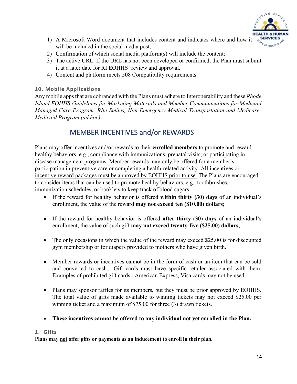

- 1) A Microsoft Word document that includes content and indicates where and how it will be included in the social media post;
- 2) Confirmation of which social media platform(s) will include the content;
- 3) The active URL. If the URL has not been developed or confirmed, the Plan must submit it at a later date for RI EOHHS' review and approval.
- 4) Content and platform meets 508 Compatibility requirements.

#### **10. Mobile Applications**

Any mobile apps that are cobranded with the Plans must adhere to Interoperability and these *Rhode Island EOHHS Guidelines for Marketing Materials and Member Communications for Medicaid Managed Care Program, RIte Smiles, Non-Emergency Medical Transportation and Medicare-Medicaid Program (ad hoc).* 

## MEMBER INCENTIVES and/or REWARDS

Plans may offer incentives and/or rewards to their **enrolled members** to promote and reward healthy behaviors, e.g., compliance with immunizations, prenatal visits, or participating in disease management programs. Member rewards may only be offered for a member's participation in preventive care or completing a health-related activity. All incentives or incentive reward packages must be approved by EOHHS prior to use. The Plans are encouraged to consider items that can be used to promote healthy behaviors, e.g., toothbrushes, immunization schedules, or booklets to keep track of blood sugars.

- If the reward for healthy behavior is offered **within thirty (30) days** of an individual's enrollment, the value of the reward **may not exceed ten (\$10.00) dollars**;
- If the reward for healthy behavior is offered **after thirty (30) days** of an individual's enrollment, the value of such gift **may not exceed twenty-five (\$25.00) dollars**;
- The only occasions in which the value of the reward may exceed \$25.00 is for discounted gym membership or for diapers provided to mothers who have given birth.
- Member rewards or incentives cannot be in the form of cash or an item that can be sold and converted to cash. Gift cards must have specific retailer associated with them. Examples of prohibited gift cards: American Express, Visa cards may not be used.
- Plans may sponsor raffles for its members, but they must be prior approved by EOHHS. The total value of gifts made available to winning tickets may not exceed \$25.00 per winning ticket and a maximum of \$75.00 for three (3) drawn tickets.
- **These incentives cannot be offered to any individual not yet enrolled in the Plan.**

#### **1. Gifts**

**Plans may not offer gifts or payments as an inducement to enroll in their plan.**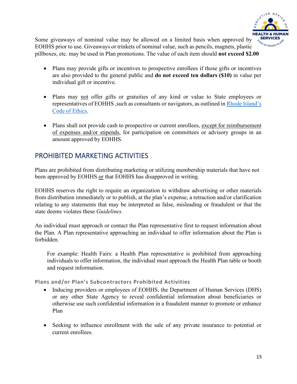

Some giveaways of nominal value may be allowed on a limited basis when approved by EOHHS prior to use. Giveaways or trinkets of nominal value, such as pencils, magnets, plastic pillboxes, etc. may be used in Plan promotions. The value of each item should **not exceed \$2.00**

- Plans may provide gifts or incentives to prospective enrollees if those gifts or incentives are also provided to the general public and **do not exceed ten dollars (\$10)** in value per individual gift or incentive.
- Plans may not offer gifts or gratuities of any kind or value to State employees or representatives of EOHHS, such as consultants or navigators, as outlined in Rhode Island's [Code of Ethics.](https://ethics.ri.gov/code/)
- Plans shall not provide cash to prospective or current enrollees, except for reimbursement of expenses and/or stipends, for participation on committees or advisory groups in an amount approved by EOHHS.

## PROHIBITED MARKETING ACTIVITIES

Plans are prohibited from distributing marketing or utilizing membership materials that have not been approved by EOHHS or that EOHHS has disapproved in writing.

EOHHS reserves the right to require an organization to withdraw advertising or other materials from distribution immediately or to publish, at the plan's expense, a retraction and/or clarification relating to any statements that may be interpreted as false, misleading or fraudulent or that the state deems violates these *Guidelines.*

An individual must approach or contact the Plan representative first to request information about the Plan. A Plan representative approaching an individual to offer information about the Plan is forbidden.

For example: Health Fairs: a Health Plan representative is prohibited from approaching individuals to offer information, the individual must approach the Health Plan table or booth and request information.

**Plans and/or Plan's Subcontractors Prohibited Activities**

- Inducing providers or employees of EOHHS, the Department of Human Services (DHS) or any other State Agency to reveal confidential information about beneficiaries or otherwise use such confidential information in a fraudulent manner to promote or enhance Plan
- Seeking to influence enrollment with the sale of any private insurance to potential or current enrollees.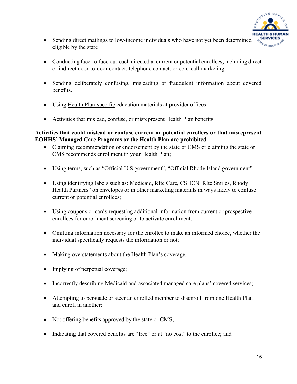

- Sending direct mailings to low-income individuals who have not yet been determined eligible by the state
- Conducting face-to-face outreach directed at current or potential enrollees, including direct or indirect door-to-door contact, telephone contact, or cold-call marketing
- Sending deliberately confusing, misleading or fraudulent information about covered benefits.
- Using Health Plan-specific education materials at provider offices
- Activities that mislead, confuse, or misrepresent Health Plan benefits

#### **Activities that could mislead or confuse current or potential enrollees or that misrepresent EOHHS' Managed Care Programs or the Health Plan are prohibited**

- Claiming recommendation or endorsement by the state or CMS or claiming the state or CMS recommends enrollment in your Health Plan;
- Using terms, such as "Official U.S government", "Official Rhode Island government"
- Using identifying labels such as: Medicaid, RIte Care, CSHCN, RIte Smiles, Rhody Health Partners" on envelopes or in other marketing materials in ways likely to confuse current or potential enrollees;
- Using coupons or cards requesting additional information from current or prospective enrollees for enrollment screening or to activate enrollment;
- Omitting information necessary for the enrollee to make an informed choice, whether the individual specifically requests the information or not;
- Making overstatements about the Health Plan's coverage;
- Implying of perpetual coverage;
- Incorrectly describing Medicaid and associated managed care plans' covered services;
- Attempting to persuade or steer an enrolled member to disenroll from one Health Plan and enroll in another;
- Not offering benefits approved by the state or CMS;
- Indicating that covered benefits are "free" or at "no cost" to the enrollee; and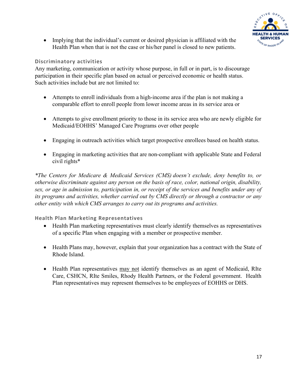

• Implying that the individual's current or desired physician is affiliated with the Health Plan when that is not the case or his/her panel is closed to new patients.

#### **Discriminatory activities**

Any marketing, communication or activity whose purpose, in full or in part, is to discourage participation in their specific plan based on actual or perceived economic or health status. Such activities include but are not limited to:

- Attempts to enroll individuals from a high-income area if the plan is not making a comparable effort to enroll people from lower income areas in its service area or
- Attempts to give enrollment priority to those in its service area who are newly eligible for Medicaid/EOHHS' Managed Care Programs over other people
- Engaging in outreach activities which target prospective enrollees based on health status.
- Engaging in marketing activities that are non-compliant with applicable State and Federal civil rights\*

*\*The Centers for Medicare & Medicaid Services (CMS) doesn't exclude, deny benefits to, or otherwise discriminate against any person on the basis of race, color, national origin, disability, sex, or age in admission to, participation in, or receipt of the services and benefits under any of its programs and activities, whether carried out by CMS directly or through a contractor or any other entity with which CMS arranges to carry out its programs and activities.*

#### **Health Plan Marketing Representatives**

- Health Plan marketing representatives must clearly identify themselves as representatives of a specific Plan when engaging with a member or prospective member.
- Health Plans may, however, explain that your organization has a contract with the State of Rhode Island.
- Health Plan representatives may not identify themselves as an agent of Medicaid, RIte Care, CSHCN, RIte Smiles, Rhody Health Partners, or the Federal government. Health Plan representatives may represent themselves to be employees of EOHHS or DHS.